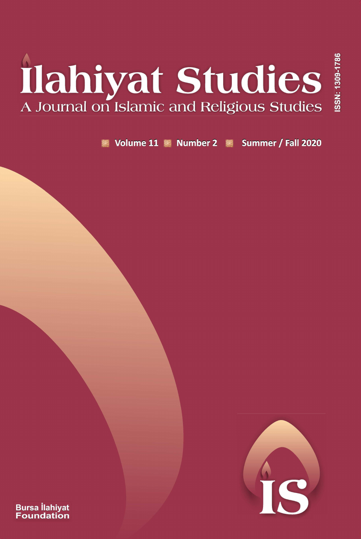# Ilahiyat Studies

Volume 11 Number 2 Summer / Fall 2020



ISSN: 1309-1786

**Bursa İlahiyat**<br>Foundation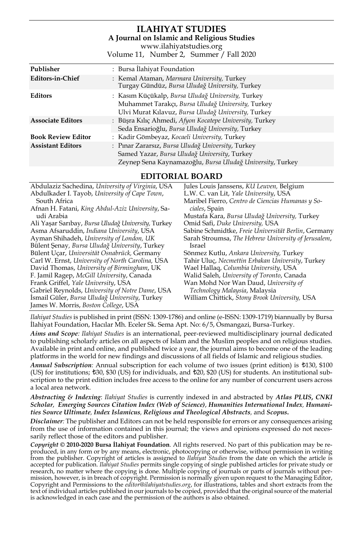### **ILAHIYAT STUDIES A Journal on Islamic and Religious Studies** [www.ilahiyatstudies.org](http://www.ilahiyatstudies.org/)

Volume 11, Number 2, Summer / Fall 2020

**EDITORIAL BOARD**

| Abdulaziz Sachedina, University of Virginia, USA   | Jules Louis Janssens, KU Leuven, Belgium            |
|----------------------------------------------------|-----------------------------------------------------|
| Abdulkader I. Tayob, University of Cape Town,      | L.W. C. van Lit, Yale University, USA               |
| South Africa                                       | Maribel Fierro, Centro de Ciencias Humanas y So-    |
| Afnan H. Fatani, King Abdul-Aziz University, Sa-   | ciales, Spain                                       |
| udi Arabia                                         | Mustafa Kara, Bursa Uludağ University, Turkey       |
| Ali Yaşar Sarıbay, Bursa Uludağ University, Turkey | Omid Safi, Duke University, USA                     |
| Asma Afsaruddin, Indiana University, USA           | Sabine Schmidtke, Freie Universität Berlin, Germany |
| Ayman Shihadeh, University of London, UK           | Sarah Stroumsa, The Hebrew University of Jerusalem, |
| Bülent Şenay, Bursa Uludağ University, Turkey      | Israel                                              |
| Bülent Uçar, Universität Osnabrück, Germany        | Sönmez Kutlu, Ankara University, Turkey             |
| Carl W. Ernst, University of North Carolina, USA   | Tahir Uluç, Necmettin Erbakan University, Turkey    |
| David Thomas, University of Birmingham, UK         | Wael Hallaq, Columbia University, USA               |
| F. Jamil Ragep, McGill University, Canada          | Walid Saleh, University of Toronto, Canada          |
| Frank Griffel, Yale University, USA                | Wan Mohd Nor Wan Daud, University of                |
| Gabriel Reynolds, University of Notre Dame, USA    | Technology Malaysia, Malaysia                       |
| Ismail Güler, Bursa Uludağ University, Turkey      | William Chittick, Stony Brook University, USA       |
| James W. Morris, Boston College, USA               |                                                     |

*Ilahiyat Studies* is published in print (ISSN: 1309-1786) and online (e-ISSN: 1309-1719) biannually by Bursa İlahiyat Foundation, Hacılar Mh. Eceler Sk. Sema Apt. No: 6/5, Osmangazi, Bursa-Turkey.

*Aims and Scope: Ilahiyat Studies* is an international, peer-reviewed multidisciplinary journal dedicated to publishing scholarly articles on all aspects of Islam and the Muslim peoples and on religious studies. Available in print and online, and published twice a year, the journal aims to become one of the leading platforms in the world for new findings and discussions of all fields of Islamic and religious studies.

*Annual Subscription:* Annual subscription for each volume of two issues (print edition) is  $\text{\textsterling}130, \$100$ (US) for institutions; t30, \$30 (US) for individuals, and t20, \$20 (US) for students. An institutional subscription to the print edition includes free access to the online for any number of concurrent users across a local area network.

### *Abstracting & Indexing*: *Ilahiyat Studies* is currently indexed in and abstracted by *Atlas PLUS***,** *CNKI Scholar*, *Emerging Sources Citation Index (Web of Science)*, *Humanities International Index, Humanities Source Ultimate, Index Islamicus, Religious and Theological Abstracts,* and *Scopus***.**

*Disclaimer:* The publisher and Editors can not be held responsible for errors or any consequences arising from the use of information contained in this journal; the views and opinions expressed do not necessarily reflect those of the editors and publisher.

*Copyright* **© 2010-2020 Bursa İlahiyat Foundation**. All rights reserved. No part of this publication may be reproduced, in any form or by any means, electronic, photocopying or otherwise, without permission in writing from the publisher. Copyright of articles is assigned to *Ilahiyat Studies* from the date on which the article is<br>accepted for publication. *Ilahiyat Studies* permits single copying of single published articles for private research, no matter where the copying is done. Multiple copying of journals or parts of journals without permission, however, is in breach of copyright. Permission is normally given upon request to the Managing Editor,<br>Copyright and Permissions to the *editor@ilahiyatstudies.org, f*or illustrations, tables and short extracts fro text of individual articles published in our journals to be copied, provided that the original source of the material is acknowledged in each case and the permission of the authors is also obtained.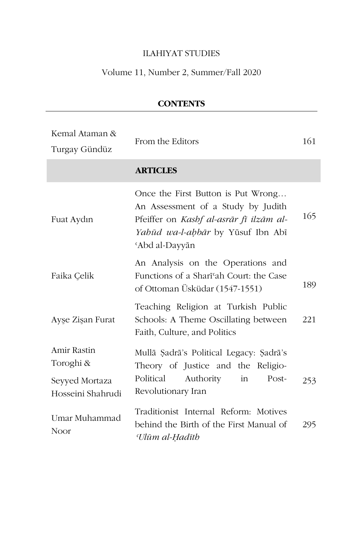# ILAHIYAT STUDIES

# Volume 11, Number 2, Summer/Fall 2020

| Kemal Ataman &<br>Turgay Gündüz            | From the Editors                                                                                                                                                           | 161 |
|--------------------------------------------|----------------------------------------------------------------------------------------------------------------------------------------------------------------------------|-----|
|                                            | <b>ARTICLES</b>                                                                                                                                                            |     |
| Fuat Aydın                                 | Once the First Button is Put Wrong<br>An Assessment of a Study by Judith<br>Pfeiffer on Kashf al-asrār fī ilzām al-<br>Yahūd wa-l-aḥbār by Yūsuf Ibn Abī<br>'Abd al-Dayyān | 165 |
| Faika Çelik                                | An Analysis on the Operations and<br>Functions of a Shari'ah Court: the Case<br>of Ottoman Üsküdar (1547-1551)                                                             | 189 |
| Ayşe Zişan Furat                           | Teaching Religion at Turkish Public<br>Schools: A Theme Oscillating between<br>Faith, Culture, and Politics                                                                | 221 |
| Amir Rastin<br>Toroghi &<br>Seyyed Mortaza | Mullā Şadrā's Political Legacy: Şadrā's<br>Theory of Justice and the Religio-<br>Political<br>Authority<br>in<br>Post-                                                     | 253 |
| Hosseini Shahrudi                          | Revolutionary Iran                                                                                                                                                         |     |
| Umar Muhammad<br>Noor                      | Traditionist Internal Reform: Motives<br>behind the Birth of the First Manual of<br>Ulūm al-Hadīth                                                                         | 295 |

**CONTENTS**